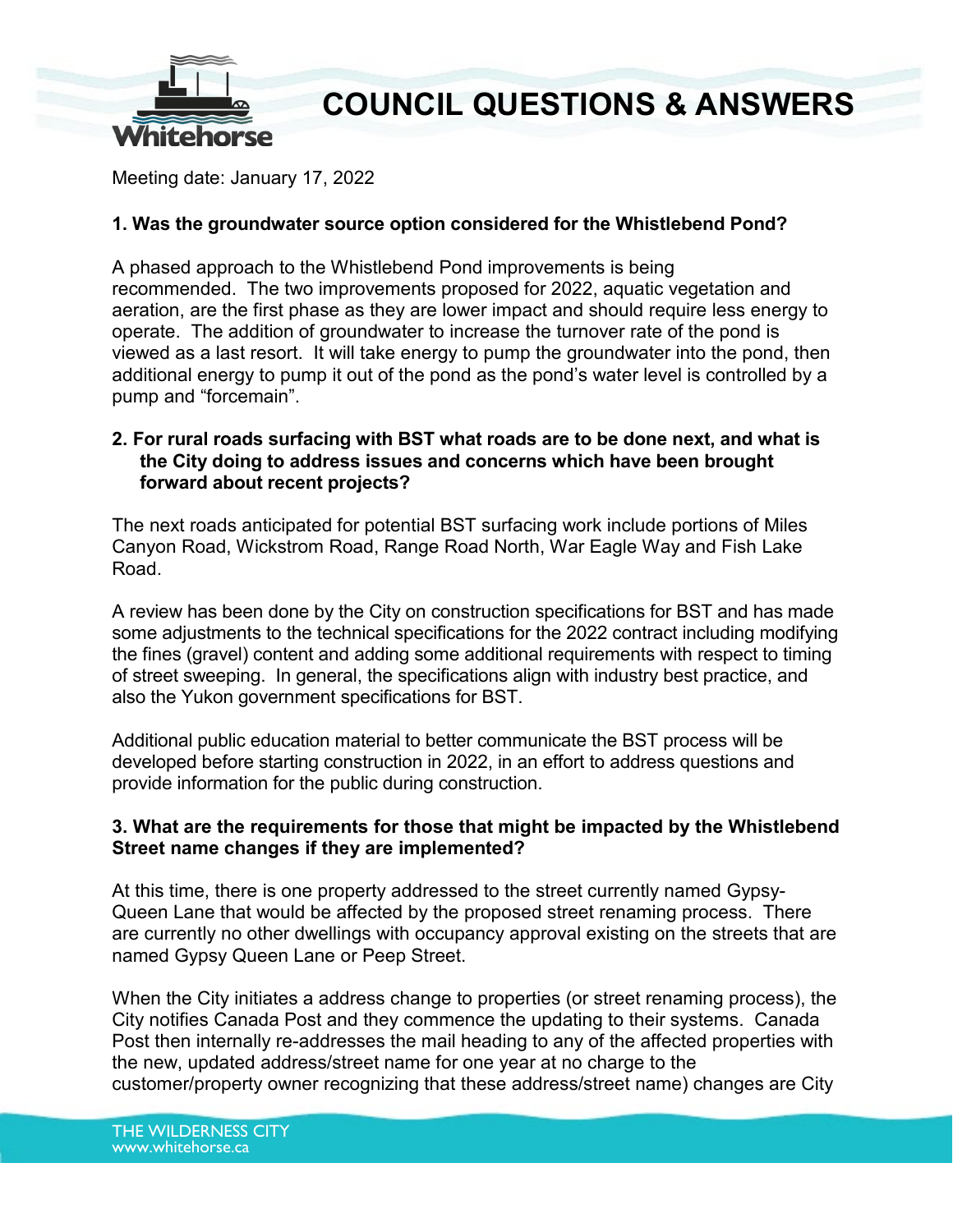

## **COUNCIL QUESTIONS & ANSWERS**

Meeting date: January 17, 2022

#### **1. Was the groundwater source option considered for the Whistlebend Pond?**

A phased approach to the Whistlebend Pond improvements is being recommended. The two improvements proposed for 2022, aquatic vegetation and aeration, are the first phase as they are lower impact and should require less energy to operate. The addition of groundwater to increase the turnover rate of the pond is viewed as a last resort. It will take energy to pump the groundwater into the pond, then additional energy to pump it out of the pond as the pond's water level is controlled by a pump and "forcemain".

#### **2. For rural roads surfacing with BST what roads are to be done next, and what is the City doing to address issues and concerns which have been brought forward about recent projects?**

The next roads anticipated for potential BST surfacing work include portions of Miles Canyon Road, Wickstrom Road, Range Road North, War Eagle Way and Fish Lake Road.

A review has been done by the City on construction specifications for BST and has made some adjustments to the technical specifications for the 2022 contract including modifying the fines (gravel) content and adding some additional requirements with respect to timing of street sweeping. In general, the specifications align with industry best practice, and also the Yukon government specifications for BST.

Additional public education material to better communicate the BST process will be developed before starting construction in 2022, in an effort to address questions and provide information for the public during construction.

### **3. What are the requirements for those that might be impacted by the Whistlebend Street name changes if they are implemented?**

At this time, there is one property addressed to the street currently named Gypsy-Queen Lane that would be affected by the proposed street renaming process. There are currently no other dwellings with occupancy approval existing on the streets that are named Gypsy Queen Lane or Peep Street.

When the City initiates a address change to properties (or street renaming process), the City notifies Canada Post and they commence the updating to their systems. Canada Post then internally re-addresses the mail heading to any of the affected properties with the new, updated address/street name for one year at no charge to the customer/property owner recognizing that these address/street name) changes are City